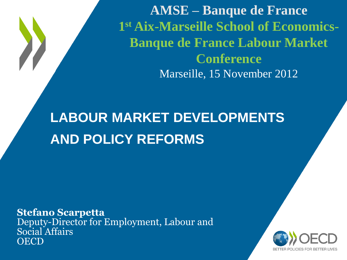**AMSE – Banque de France 1 st Aix-Marseille School of Economics-Banque de France Labour Market Conference** Marseille, 15 November 2012

### **LABOUR MARKET DEVELOPMENTS AND POLICY REFORMS**

**Stefano Scarpetta** Deputy-Director for Employment, Labour and Social Affairs **OECD** 

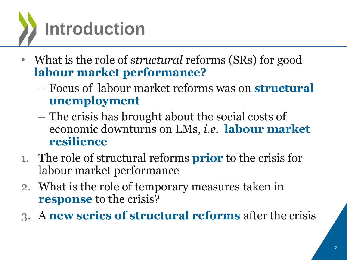

- What is the role of *structural* reforms (SRs) for good **labour market performance?**
	- Focus of labour market reforms was on **structural unemployment**
	- The crisis has brought about the social costs of economic downturns on LMs, *i.e.* **labour market resilience**
- 1. The role of structural reforms **prior** to the crisis for labour market performance
- 2. What is the role of temporary measures taken in **response** to the crisis?
- 3. A **new series of structural reforms** after the crisis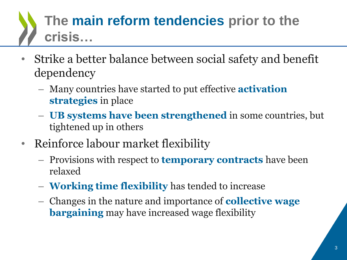## **The main reform tendencies prior to the crisis…**

- Strike a better balance between social safety and benefit dependency
	- Many countries have started to put effective **activation strategies** in place
	- **UB systems have been strengthened** in some countries, but tightened up in others
- Reinforce labour market flexibility
	- Provisions with respect to **temporary contracts** have been relaxed
	- **Working time flexibility** has tended to increase
	- Changes in the nature and importance of **collective wage bargaining** may have increased wage flexibility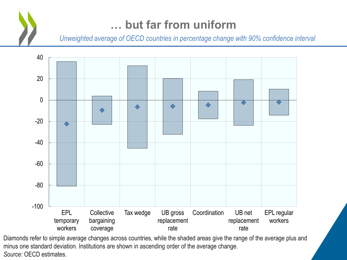### **… but far from uniform**

*Unweighted average of OECD countries in percentage change with 90% confidence interval*



Diamonds refer to simple average changes across countries, while the shaded areas give the range of the average plus and minus one standard deviation. Institutions are shown in ascending order of the average change. *Source:* OECD estimates.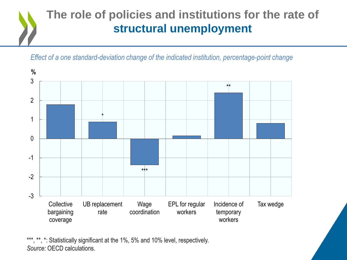### **The role of policies and institutions for the rate of structural unemployment**

*Effect of a one standard-deviation change of the indicated institution, percentage-point change*



\*\*\*, \*\*, \*: Statistically significant at the 1%, 5% and 10% level, respectively. *Source:* OECD calculations.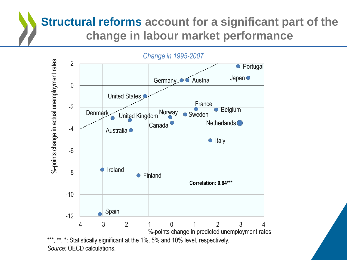### **Structural reforms account for a significant part of the change in labour market performance**

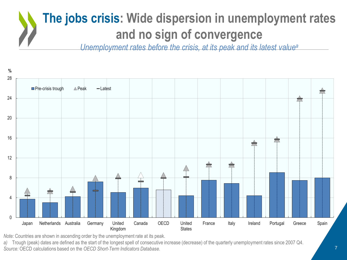### **The jobs crisis: Wide dispersion in unemployment rates and no sign of convergence**

*Unemployment rates before the crisis, at its peak and its latest value<sup>a</sup>*



*Note:* Countries are shown in ascending order by the unemployment rate at its peak.

*a)* Trough (peak) dates are defined as the start of the longest spell of consecutive increase (decrease) of the quarterly unemployment rates since 2007 Q4. *Source:* OECD calculations based on the *OECD Short-Term Indicators Database.*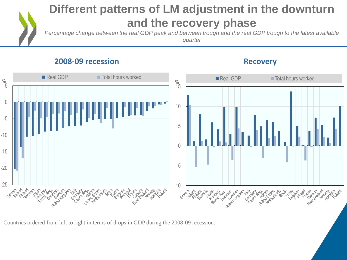#### **Different patterns of LM adjustment in the downturn and the recovery phase**

*Percentage change between the real GDP peak and between trough and the real GDP trough to the latest available quarter*

#### **2008-09 recession Recovery**





Countries ordered from left to right in terms of drops in GDP during the 2008-09 recession.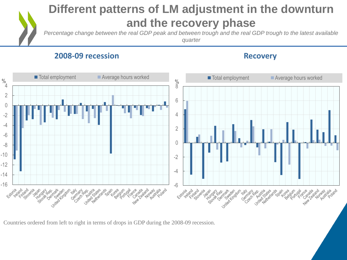#### **Different patterns of LM adjustment in the downturn and the recovery phase**

*Percentage change between the real GDP peak and between trough and the real GDP trough to the latest available quarter*

#### **2008-09 recession Recovery**



Countries ordered from left to right in terms of drops in GDP during the 2008-09 recession.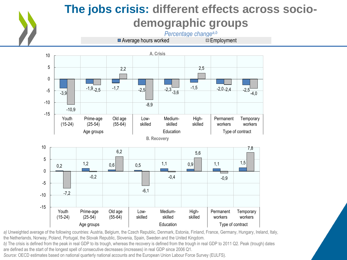

### **The jobs crisis: different effects across sociodemographic groups**

*Percentage changea,b*

 $\blacksquare$  Average hours worked



*a)* Unweighted average of the following countries: Austria, Belgium, the Czech Republic, Denmark, Estonia, Finland, France, Germany, Hungary, Ireland, Italy, the Netherlands, Norway, Poland, Portugal, the Slovak Republic, Slovenia, Spain, Sweden and the United Kingdom.

*b)* The crisis is defined from the peak in real GDP to its trough, whereas the recovery is defined from the trough in real GDP to 2011 Q2. Peak (trough) dates are defined as the start of the longest spell of consecutive decreases (increases) in real GDP since 2006 Q1.

*Source:* OECD estimates based on national quarterly national accounts and the European Union Labour Force Survey (EULFS).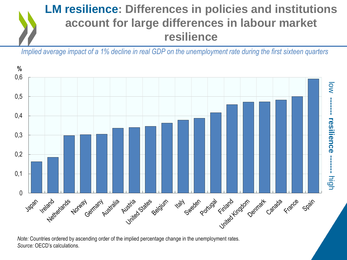### **LM resilience: Differences in policies and institutions account for large differences in labour market resilience**

*Implied average impact of a 1% decline in real GDP on the unemployment rate during the first sixteen quarters*



*Note:* Countries ordered by ascending order of the implied percentage change in the unemployment rates. *Source:* OECD's calculations.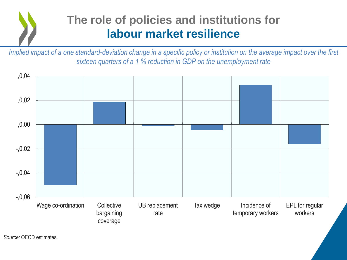### **The role of policies and institutions for labour market resilience**

*Implied impact of a one standard-deviation change in a specific policy or institution on the average impact over the first sixteen quarters of a 1 % reduction in GDP on the unemployment rate*

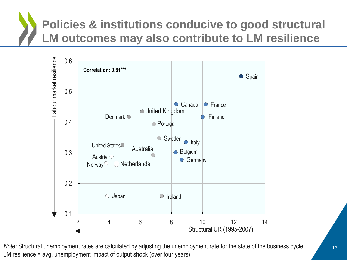## **Policies & institutions conducive to good structural LM outcomes may also contribute to LM resilience**



*Note:* Structural unemployment rates are calculated by adjusting the unemployment rate for the state of the business cycle. LM resilience = avg. unemployment impact of output shock (over four years)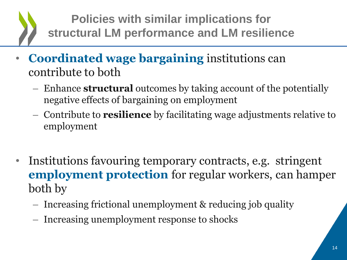### **Policies with similar implications for structural LM performance and LM resilience**

- **Coordinated wage bargaining** institutions can contribute to both
	- Enhance **structural** outcomes by taking account of the potentially negative effects of bargaining on employment
	- Contribute to **resilience** by facilitating wage adjustments relative to employment
- Institutions favouring temporary contracts, e.g. stringent **employment protection** for regular workers, can hamper both by
	- Increasing frictional unemployment & reducing job quality
	- Increasing unemployment response to shocks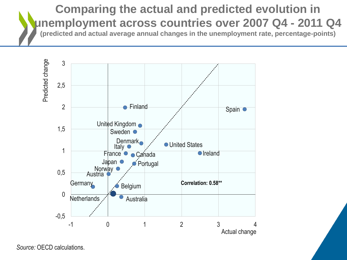### **Comparing the actual and predicted evolution in unemployment across countries over 2007 Q4 - 2011 Q4**

**(predicted and actual average annual changes in the unemployment rate, percentage-points)**



*Source:* OECD calculations.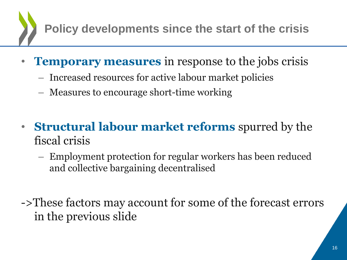**Policy developments since the start of the crisis**

- **Temporary measures** in response to the jobs crisis
	- Increased resources for active labour market policies
	- Measures to encourage short-time working
- **Structural labour market reforms** spurred by the fiscal crisis
	- Employment protection for regular workers has been reduced and collective bargaining decentralised
- ->These factors may account for some of the forecast errors in the previous slide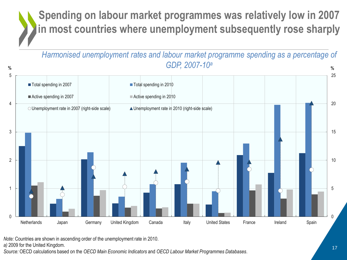### **Spending on labour market programmes was relatively low in 2007 in most countries where unemployment subsequently rose sharply**

*Harmonised unemployment rates and labour market programme spending as a percentage of GDP, 2007-10<sup>a</sup>* **% %**



*Note:* Countries are shown in ascending order of the unemployment rate in 2010.

*a)* 2009 for the United Kingdom.

*Source:* OECD calculations based on the *OECD Main Economic Indicators* and *OECD Labour Market Programmes Databases*.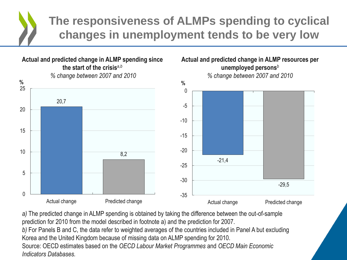### **The responsiveness of ALMPs spending to cyclical changes in unemployment tends to be very low**



*a)* The predicted change in ALMP spending is obtained by taking the difference between the out-of-sample prediction for 2010 from the model described in footnote a) and the prediction for 2007. *b)* For Panels B and C, the data refer to weighted averages of the countries included in Panel A but excluding Korea and the United Kingdom because of missing data on ALMP spending for 2010. Source: OECD estimates based on the *OECD Labour Market Programmes* and *OECD Main Economic Indicators Databases.*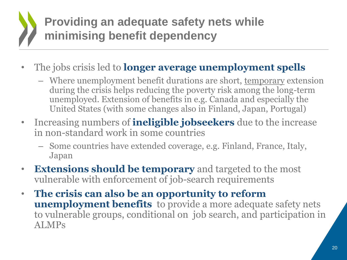### **Providing an adequate safety nets while minimising benefit dependency**

- The jobs crisis led to **longer average unemployment spells** 
	- Where unemployment benefit durations are short, temporary extension during the crisis helps reducing the poverty risk among the long-term unemployed. Extension of benefits in e.g. Canada and especially the United States (with some changes also in Finland, Japan, Portugal)
- Increasing numbers of **ineligible jobseekers** due to the increase in non-standard work in some countries
	- Some countries have extended coverage, e.g. Finland, France, Italy, Japan
- **Extensions should be temporary** and targeted to the most vulnerable with enforcement of job-search requirements
- **The crisis can also be an opportunity to reform unemployment benefits** to provide a more adequate safety nets to vulnerable groups, conditional on job search, and participation in ALMPs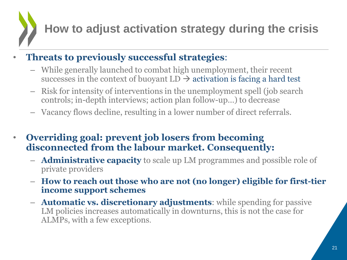### **How to adjust activation strategy during the crisis**

#### • **Threats to previously successful strategies**:

- While generally launched to combat high unemployment, their recent successes in the context of buoyant  $LD \rightarrow$  activation is facing a hard test
- Risk for intensity of interventions in the unemployment spell (job search controls; in-depth interviews; action plan follow-up…) to decrease
- Vacancy flows decline, resulting in a lower number of direct referrals.
- **Overriding goal: prevent job losers from becoming disconnected from the labour market. Consequently:**
	- **Administrative capacity** to scale up LM programmes and possible role of private providers
	- **How to reach out those who are not (no longer) eligible for first-tier income support schemes**
	- **Automatic vs. discretionary adjustments**: while spending for passive LM policies increases automatically in downturns, this is not the case for ALMPs, with a few exceptions.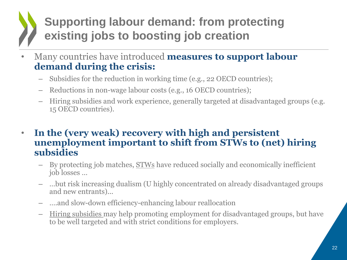### **Supporting labour demand: from protecting existing jobs to boosting job creation**

- Many countries have introduced **measures to support labour demand during the crisis:**
	- Subsidies for the reduction in working time (e.g., 22 OECD countries);
	- Reductions in non-wage labour costs (e.g., 16 OECD countries);
	- Hiring subsidies and work experience, generally targeted at disadvantaged groups (e.g. 15 OECD countries).
- **In the (very weak) recovery with high and persistent unemployment important to shift from STWs to (net) hiring subsidies**
	- By protecting job matches, STWs have reduced socially and economically inefficient job losses …
	- …but risk increasing dualism (U highly concentrated on already disadvantaged groups and new entrants)...
	- ….and slow-down efficiency-enhancing labour reallocation
	- Hiring subsidies may help promoting employment for disadvantaged groups, but have to be well targeted and with strict conditions for employers.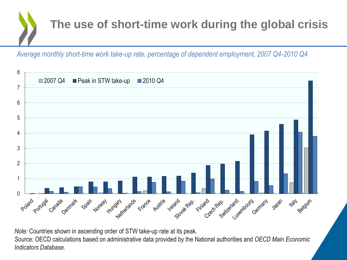

*Average monthly short-time work take-up rate, percentage of dependent employment, 2007 Q4-2010 Q4*



*Note:* Countries shown in ascending order of STW take-up rate at its peak.

*Source:* OECD calculations based on administrative data provided by the National authorities and *OECD Main Economic Indicators Database.*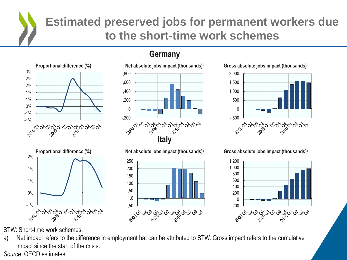### **Estimated preserved jobs for permanent workers due to the short-time work schemes**



#### **Germany**







**Proportional difference (%) Net absolute jobs impact (thousands)***<sup>a</sup>* **Gross absolute jobs impact (thousands)***<sup>a</sup>*



STW: Short-time work schemes.

a) Net impact refers to the difference in employment hat can be attributed to STW. Gross impact refers to the cumulative impact since the start of the crisis. *Source:* OECD estimates*.*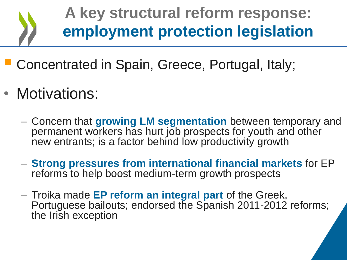**A key structural reform response: employment protection legislation**

- **Concentrated in Spain, Greece, Portugal, Italy;**
- Motivations:
	- Concern that **growing LM segmentation** between temporary and permanent workers has hurt job prospects for youth and other new entrants; is a factor behind low productivity growth
	- **Strong pressures from international financial markets** for EP reforms to help boost medium-term growth prospects
	- Troika made **EP reform an integral part** of the Greek, Portuguese bailouts; endorsed the Spanish 2011-2012 reforms; the Irish exception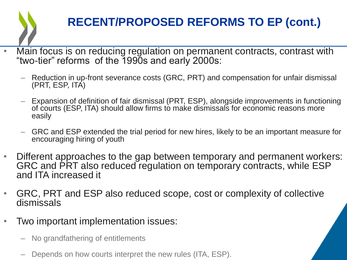### **RECENT/PROPOSED REFORMS TO EP (cont.)**

- Main focus is on reducing regulation on permanent contracts, contrast with "two-tier" reforms of the 1990s and early 2000s:
	- Reduction in up-front severance costs (GRC, PRT) and compensation for unfair dismissal (PRT, ESP, ITA)
	- Expansion of definition of fair dismissal (PRT, ESP), alongside improvements in functioning of courts (ESP, ITA) should allow firms to make dismissals for economic reasons more easily
	- GRC and ESP extended the trial period for new hires, likely to be an important measure for encouraging hiring of youth
- Different approaches to the gap between temporary and permanent workers: GRC and PRT also reduced regulation on temporary contracts, while ESP and ITA increased it
- GRC, PRT and ESP also reduced scope, cost or complexity of collective dismissals
- Two important implementation issues:
	- No grandfathering of entitlements
	- Depends on how courts interpret the new rules (ITA, ESP).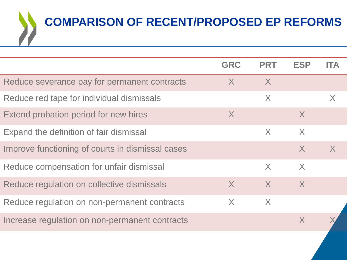

|                                                  | <b>GRC</b> | <b>PRT</b> | <b>ESP</b>   | IΤΔ          |
|--------------------------------------------------|------------|------------|--------------|--------------|
| Reduce severance pay for permanent contracts     | X          | X          |              |              |
| Reduce red tape for individual dismissals        |            | X          |              | X            |
| Extend probation period for new hires            | X          |            | $\mathsf{X}$ |              |
| Expand the definition of fair dismissal          |            | X          | $\sf X$      |              |
| Improve functioning of courts in dismissal cases |            |            | $\mathsf{X}$ | $\mathsf{X}$ |
| Reduce compensation for unfair dismissal         |            | X          | X            |              |
| Reduce regulation on collective dismissals       | $\sf X$    | $\sf X$    | $\mathsf{X}$ |              |
| Reduce regulation on non-permanent contracts     | X          | X          |              |              |
| Increase regulation on non-permanent contracts   |            |            | X            |              |
|                                                  |            |            |              |              |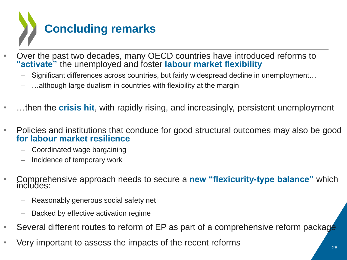

- Over the past two decades, many OECD countries have introduced reforms to **"activate"** the unemployed and foster **labour market flexibility**
	- Significant differences across countries, but fairly widespread decline in unemployment…
	- ...although large dualism in countries with flexibility at the margin
- …then the **crisis hit**, with rapidly rising, and increasingly, persistent unemployment
- Policies and institutions that conduce for good structural outcomes may also be good **for labour market resilience**
	- Coordinated wage bargaining
	- Incidence of temporary work
- Comprehensive approach needs to secure a **new "flexicurity-type balance"** which includes:
	- Reasonably generous social safety net
	- Backed by effective activation regime
- Several different routes to reform of EP as part of a comprehensive reform package
- Very important to assess the impacts of the recent reforms